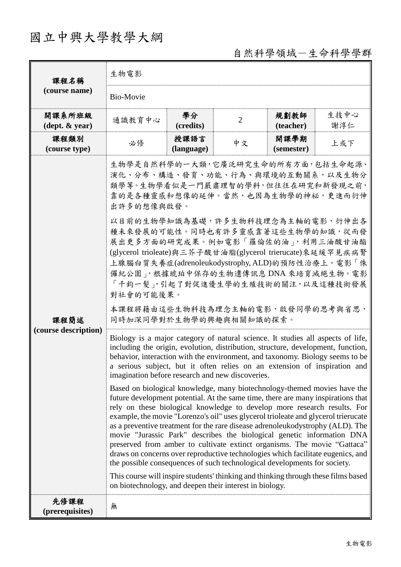# 國立中興大學教學大綱

## 自然科學領域-生命科學學群

| 課程名稱                                       | 生物電影                                                                                                                                                                                                                                                                                                                                                                                                                                                                                                                                                                                                                                                                                                                                                                                                                                                                                                                                                                                                                                                                                                                                                                                                                                                                                                                                                                                                                                                                                                                                                                                                                                                                                                                                                                                                                                      |                    |                |                    |             |  |
|--------------------------------------------|-------------------------------------------------------------------------------------------------------------------------------------------------------------------------------------------------------------------------------------------------------------------------------------------------------------------------------------------------------------------------------------------------------------------------------------------------------------------------------------------------------------------------------------------------------------------------------------------------------------------------------------------------------------------------------------------------------------------------------------------------------------------------------------------------------------------------------------------------------------------------------------------------------------------------------------------------------------------------------------------------------------------------------------------------------------------------------------------------------------------------------------------------------------------------------------------------------------------------------------------------------------------------------------------------------------------------------------------------------------------------------------------------------------------------------------------------------------------------------------------------------------------------------------------------------------------------------------------------------------------------------------------------------------------------------------------------------------------------------------------------------------------------------------------------------------------------------------------|--------------------|----------------|--------------------|-------------|--|
| (course name)                              | <b>Bio-Movie</b>                                                                                                                                                                                                                                                                                                                                                                                                                                                                                                                                                                                                                                                                                                                                                                                                                                                                                                                                                                                                                                                                                                                                                                                                                                                                                                                                                                                                                                                                                                                                                                                                                                                                                                                                                                                                                          |                    |                |                    |             |  |
| 開課系所班級<br>$(\text{dept.} \& \text{ year})$ | 通識教育中心                                                                                                                                                                                                                                                                                                                                                                                                                                                                                                                                                                                                                                                                                                                                                                                                                                                                                                                                                                                                                                                                                                                                                                                                                                                                                                                                                                                                                                                                                                                                                                                                                                                                                                                                                                                                                                    | 學分<br>(credits)    | $\overline{2}$ | 規劃教師<br>(teacher)  | 生技中心<br>謝淳仁 |  |
| 課程類別<br>(course type)                      | 必修                                                                                                                                                                                                                                                                                                                                                                                                                                                                                                                                                                                                                                                                                                                                                                                                                                                                                                                                                                                                                                                                                                                                                                                                                                                                                                                                                                                                                                                                                                                                                                                                                                                                                                                                                                                                                                        | 授課語言<br>(language) | 中文             | 開課學期<br>(semester) | 上或下         |  |
| 課程簡述<br>(course description)               | 生物學是自然科學的一大類,它廣泛研究生命的所有方面,包括生命起源、<br>演化、分布、構造、發育、功能、行為、與環境的互動關系,以及生物分<br>類學等。生物學看似是一門嚴肅理智的學科,但往往在研究和新發現之前,<br>靠的是各種靈感和想像的延伸。當然,也因為生物學的神祕,更進而衍伸<br>出許多的想像與啟發。<br>以目前的生物學知識為基礎,許多生物科技理念為主軸的電影,衍伸出各<br>種未來發展的可能性。同時也有許多靈感靠著這些生物學的知識,從而發<br>展出更多方面的研究成果。例如電影「羅倫佐的油」,利用三油酸甘油酯<br>(glycerol trioleate)與三芥子酸甘油脂(glycerol trierucate)來延緩罕見疾病腎<br>上腺腦白質失養症(adrenoleukodystrophy, ALD)的預防性治療上。電影「侏<br>儸紀公園」,根據琥珀中保存的生物遺傳訊息 DNA 來培育滅絕生物。電影<br>「千鈞一髮」,引起了對促進優生學的生殖技術的關注,以及這種技術發展<br>對社會的可能後果。<br>本課程將藉由這些生物科技為理念主軸的電影,啟發同學的思考與省思,<br>同時加深同學對於生物學的興趣與相關知識的探索。<br>Biology is a major category of natural science. It studies all aspects of life,<br>including the origin, evolution, distribution, structure, development, function,<br>behavior, interaction with the environment, and taxonomy. Biology seems to be<br>a serious subject, but it often relies on an extension of inspiration and<br>imagination before research and new discoveries.<br>Based on biological knowledge, many biotechnology-themed movies have the<br>future development potential. At the same time, there are many inspirations that<br>rely on these biological knowledge to develop more research results. For<br>example, the movie "Lorenzo's oil" uses glycerol trioleate and glycerol trierucate<br>as a preventive treatment for the rare disease adrenoleukodystrophy (ALD). The<br>movie "Jurassic Park" describes the biological genetic information DNA<br>preserved from amber to cultivate extinct organisms. The movie "Gattaca"<br>draws on concerns over reproductive technologies which facilitate eugenics, and<br>the possible consequences of such technological developments for society.<br>This course will inspire students' thinking and thinking through these films based<br>on biotechnology, and deepen their interest in biology.<br>無 |                    |                |                    |             |  |
| 先修課程<br>(prerequisites)                    |                                                                                                                                                                                                                                                                                                                                                                                                                                                                                                                                                                                                                                                                                                                                                                                                                                                                                                                                                                                                                                                                                                                                                                                                                                                                                                                                                                                                                                                                                                                                                                                                                                                                                                                                                                                                                                           |                    |                |                    |             |  |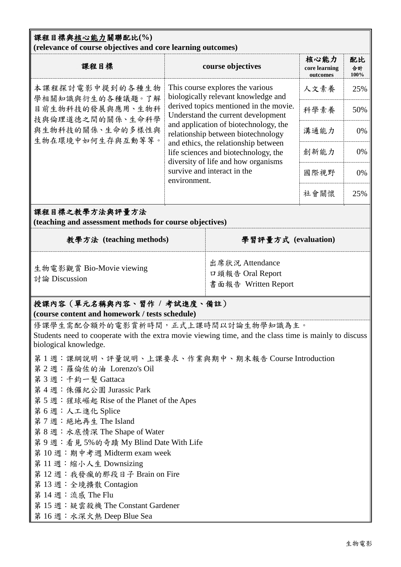### 課程目標與核心能力關聯配比**(%) (relevance of course objectives and core learning outcomes)**

| 課程目標                                                                                                                | course objectives                                                                                                                                                                                                                                                                                                                                                                                            | 核心能力<br>core learning<br>outcomes | 配比<br>合計<br>100% |
|---------------------------------------------------------------------------------------------------------------------|--------------------------------------------------------------------------------------------------------------------------------------------------------------------------------------------------------------------------------------------------------------------------------------------------------------------------------------------------------------------------------------------------------------|-----------------------------------|------------------|
| 本課程探討電影中提到的各種生物<br>學相關知識與衍生的各種議題。了解<br>目前生物科技的發展與應用、生物科<br>技與倫理道德之間的關係、生命科學<br>與生物科技的關係、生命的多樣性與<br>生物在環境中如何生存與互動等等。 | This course explores the various<br>biologically relevant knowledge and<br>derived topics mentioned in the movie.<br>Understand the current development<br>and application of biotechnology, the<br>relationship between biotechnology<br>and ethics, the relationship between<br>life sciences and biotechnology, the<br>diversity of life and how organisms<br>survive and interact in the<br>environment. | 人文素養                              | 25%              |
|                                                                                                                     |                                                                                                                                                                                                                                                                                                                                                                                                              | 科學素養                              | 50%              |
|                                                                                                                     |                                                                                                                                                                                                                                                                                                                                                                                                              | 溝通能力                              | 0%               |
|                                                                                                                     |                                                                                                                                                                                                                                                                                                                                                                                                              | 創新能力                              | 0%               |
|                                                                                                                     |                                                                                                                                                                                                                                                                                                                                                                                                              | 國際視野                              | 0%               |
|                                                                                                                     |                                                                                                                                                                                                                                                                                                                                                                                                              | 社會關懷                              | 25%              |

## 課程目標之教學方法與評量方法

**(teaching and assessment methods for course objectives)**

| 教學方法 (teaching methods)                   | 學習評量方式 (evaluation)                                        |
|-------------------------------------------|------------------------------------------------------------|
| 生物電影觀賞 Bio-Movie viewing<br>討論 Discussion | 出席狀況 Attendance<br>口頭報告 Oral Report<br>書面報告 Written Report |

## 授課內容(單元名稱與內容、習作 **/** 考試進度、備註) **(course content and homework / tests schedule)**

修課學生需配合額外的電影賞析時間,正式上課時間以討論生物學知識為主。 Students need to cooperate with the extra movie viewing time, and the class time is mainly to discuss biological knowledge.

- 第 1 週:課綱說明、評量說明、上課要求、作業與期中、期末報告 Course Introduction
- 第 2 週:羅倫佐的油 Lorenzo's Oil
- 第 3 週:千鈞一髮 Gattaca
- 第 4 週:侏儸紀公園 Jurassic Park
- 第 5 週:猩球崛起 Rise of the Planet of the Apes
- 第 6 週:人工進化 Splice
- 第7週:絕地再生 The Island
- 第 8 週:水底情深 The Shape of Water
- 第 9 週:看見 5%的奇蹟 My Blind Date With Life
- 第 10 週:期中考週 Midterm exam week
- 第 11 週:縮小人生 Downsizing
- 第 12 週:我發瘋的那段日子 Brain on Fire
- 第 13 週:全境擴散 Contagion
- 第 14 週:流感 The Flu
- 第 15 週:疑雲殺機 The Constant Gardener
- 第 16 週:水深火熱 Deep Blue Sea